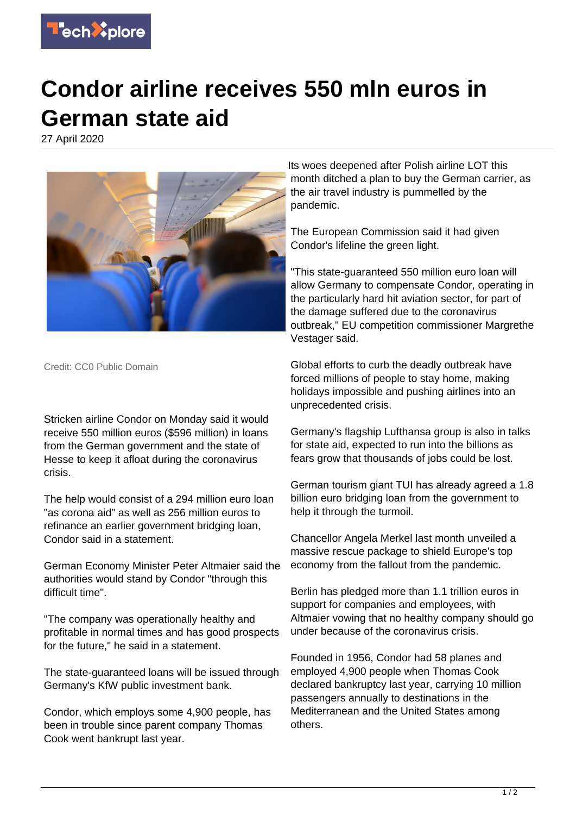

## **Condor airline receives 550 mln euros in German state aid**

27 April 2020



Its woes deepened after Polish airline LOT this month ditched a plan to buy the German carrier, as the air travel industry is pummelled by the pandemic.

The European Commission said it had given Condor's lifeline the green light.

"This state-guaranteed 550 million euro loan will allow Germany to compensate Condor, operating in the particularly hard hit aviation sector, for part of the damage suffered due to the coronavirus outbreak," EU competition commissioner Margrethe Vestager said.

Credit: CC0 Public Domain

Stricken airline Condor on Monday said it would receive 550 million euros (\$596 million) in loans from the German government and the state of Hesse to keep it afloat during the coronavirus crisis.

The help would consist of a 294 million euro loan "as corona aid" as well as 256 million euros to refinance an earlier government bridging loan, Condor said in a statement.

German Economy Minister Peter Altmaier said the authorities would stand by Condor "through this difficult time".

"The company was operationally healthy and profitable in normal times and has good prospects for the future," he said in a statement.

The state-guaranteed loans will be issued through Germany's KfW public investment bank.

Condor, which employs some 4,900 people, has been in trouble since parent company Thomas Cook went bankrupt last year.

Global efforts to curb the deadly outbreak have forced millions of people to stay home, making holidays impossible and pushing airlines into an unprecedented crisis.

Germany's flagship Lufthansa group is also in talks for state aid, expected to run into the billions as fears grow that thousands of jobs could be lost.

German tourism giant TUI has already agreed a 1.8 billion euro bridging loan from the government to help it through the turmoil.

Chancellor Angela Merkel last month unveiled a massive rescue package to shield Europe's top economy from the fallout from the pandemic.

Berlin has pledged more than 1.1 trillion euros in support for companies and employees, with Altmaier vowing that no healthy company should go under because of the coronavirus crisis.

Founded in 1956, Condor had 58 planes and employed 4,900 people when Thomas Cook declared bankruptcy last year, carrying 10 million passengers annually to destinations in the Mediterranean and the United States among others.